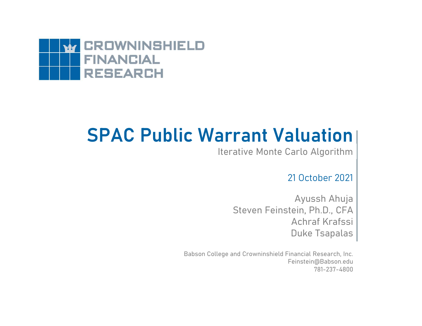

## SPAC Public Warrant Valuation

Iterative Monte Carlo Algorithm

21 October 2021

Ayussh Ahuja Steven Feinstein, Ph.D., CFA **Luation**<br>arlo Algorithm<br>21 October 2021<br>Ayussh Ahuja<br>ein, Ph.D., CFA<br>Achraf Krafssi<br>Duke Tsapalas Duke Tsapalas

Babson College and Crowninshield Financial Research, Inc. Feinstein@Babson.edu 781-237-4800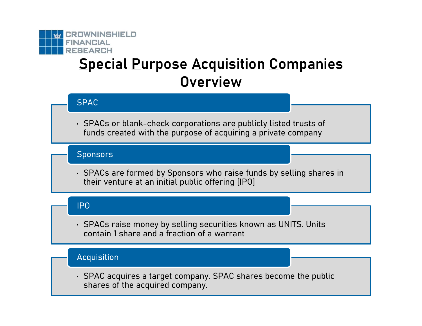

# **Special Purpose Acquisition Companies Overview** ENANCIAL<br>
SPACIAL<br>
SPACS OF blank-check corporations are publicly listed trusts of<br>
funds created with the purpose of acquiring a private company<br>
Sponsors FEARCH<br>
Special Purpose Acquisition Companies<br>
Overview<br>
SPAC<br>
SPACs or blank-check corporations are publicly listed trusts of<br>
funds created with the purpose of acquiring a private company<br>
Sponsors<br>
SPACs are formed by S

#### SPAC

funds created with the purpose of acquiring a private company

#### **Sponsors**

their venture at an initial public offering [IPO] • SPACs or blank-check corporations are publicly listed trusts of<br>
funds created with the purpose of acquiring a private company<br>
Sponsors<br>
• SPACs are formed by Sponsors who raise funds by selling shares in<br>
their venture exponsors<br>• SPACs are formed by Sponsors who raise funds by selling shares in<br>their venture at an initial public offering [IPO]<br>• SPACs raise money by selling securities known as UNITS. Units<br>contain 1 share and a fraction

#### IPO

contain 1 share and a fraction of a warrant

#### Acquisition

shares of the acquired company.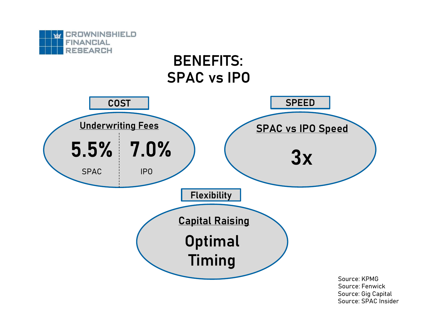

Source: SPAC Insider Source: Gig Capital Source: Fenwick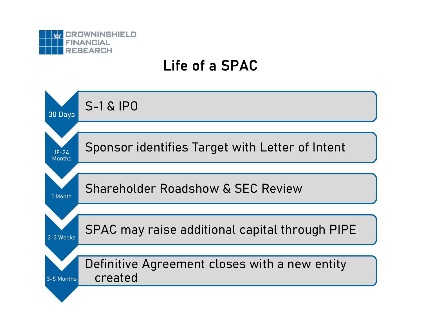

## Life of a SPAC

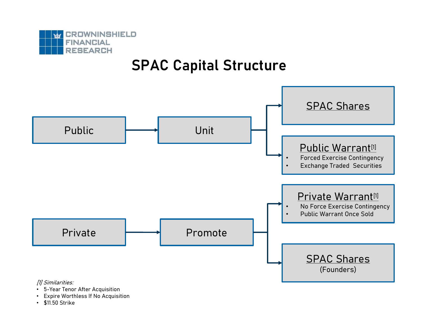

## SPAC Capital Structure



- 
- 
-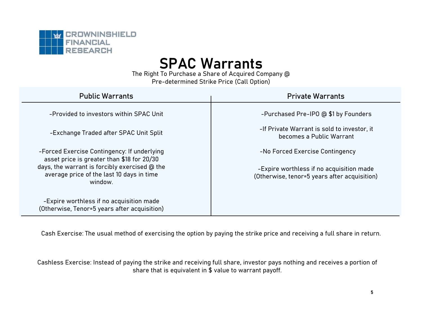

## SPAC Warrants

| <b>CROWNINSHIELD</b><br><b>FINANCIAL</b><br><b>RESEARCH</b><br><b>SPAC Warrants</b><br>The Right To Purchase a Share of Acquired Company @<br>Pre-determined Strike Price (Call Option) |                                                                         |  |  |  |  |  |  |  |
|-----------------------------------------------------------------------------------------------------------------------------------------------------------------------------------------|-------------------------------------------------------------------------|--|--|--|--|--|--|--|
| <b>Public Warrants</b>                                                                                                                                                                  | <b>Private Warrants</b>                                                 |  |  |  |  |  |  |  |
| -Provided to investors within SPAC Unit                                                                                                                                                 | -Purchased Pre-IPO @ \$1 by Founders                                    |  |  |  |  |  |  |  |
| -Exchange Traded after SPAC Unit Split                                                                                                                                                  | -If Private Warrant is sold to investor, it<br>becomes a Public Warrant |  |  |  |  |  |  |  |
| -Forced Exercise Contingency: If underlying<br>asset price is greater than \$18 for 20/30                                                                                               | -No Forced Exercise Contingency                                         |  |  |  |  |  |  |  |
| days, the warrant is forcibly exercised @ the                                                                                                                                           | -Expire worthless if no acquisition made                                |  |  |  |  |  |  |  |
| average price of the last 10 days in time<br>window.                                                                                                                                    | (Otherwise, tenor=5 years after acquisition)                            |  |  |  |  |  |  |  |
| -Expire worthless if no acquisition made<br>(Otherwise, Tenor=5 years after acquisition)                                                                                                |                                                                         |  |  |  |  |  |  |  |

Cash Exercise: The usual method of exercising the option by paying the strike price and receiving a full share in return.

Cashless Exercise: Instead of paying the strike and receiving full share, investor pays nothing and receives a portion of share that is equivalent in \$ value to warrant payoff.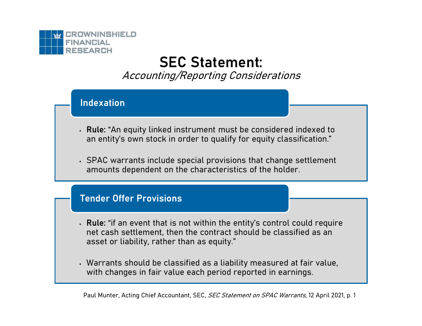

## SEC Statement:

Accounting/Reporting Considerations

#### Indexation

- Rule: "An equity linked instrument must be considered indexed to an entity's own stock in order to qualify for equity classification."
- SPAC warrants include special provisions that change settlement amounts dependent on the characteristics of the holder.

#### Tender Offer Provisions

- Rule: "if an event that is not within the entity's control could require net cash settlement, then the contract should be classified as an asset or liability, rather than as equity."
- Warrants should be classified as a liability measured at fair value, with changes in fair value each period reported in earnings.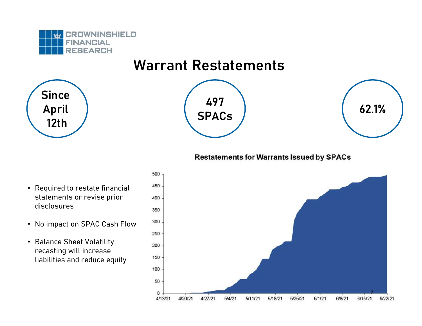

## Warrant Restatements







#### **Restatements for Warrants Issued by SPACs**

- Required to restate financial 450 statements or revise prior 400 disclosures
- No impact on SPAC Cash Flow 300
- Balance Sheet Volatility 200 recasting will increase<br>liabilities and reduce equity liabilities and reduce equity

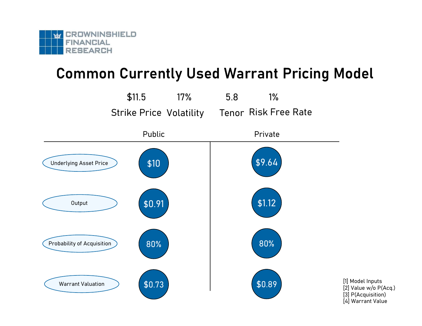

## Common Currently Used Warrant Pricing Model

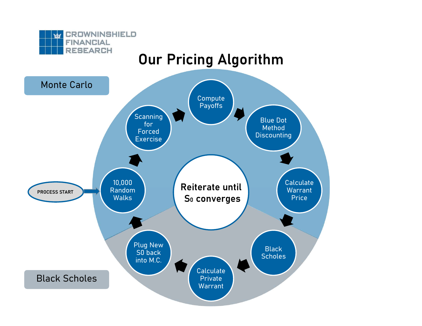

## Our Pricing Algorithm

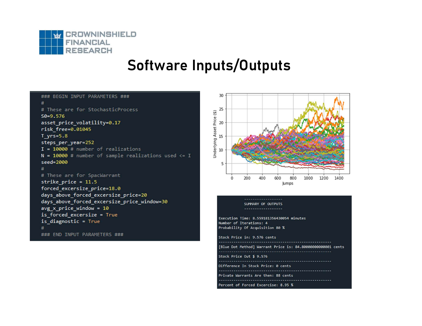

## Software Inputs/Outputs

### BEGIN INPUT PARAMETERS ###  $#$ # These are for StochasticProcess  $50 = 9.576$ asset price volatility=0.17  $risk$   $free=0.01045$  $T$  yrs=5.8 steps per year=252  $I = 10000$  # number of realizations  $N = 10000$  # number of sample realizations used  $\leq 1$ seed=2000  $#$ # These are for SpacWarrant strike price =  $11.5$ forced excersize price=18.0 days above forced excersize price=20 days\_above\_forced\_excersize\_price\_window=30  $avg x price window = 10$ is forced excersize = True is\_diagnostic = True ### END INPUT PARAMETERS ###



#### -----------------SUMMARY OF OUTPUTS

```
Execution Time: 8.559181356430054 minutes
Number of Iterations: 4
Probability Of Acquisition 80 %
Stock Price in: 9.576 cents
         [Blue Dot Method] Warrant Price is: 84.80000000000001 cents
 Stock Price Out $ 9.576
 Difference In Stock Price: 0 cents
      Private Warrants Are then: 88 cents
Percent of Forced Excercise: 8.95 %
```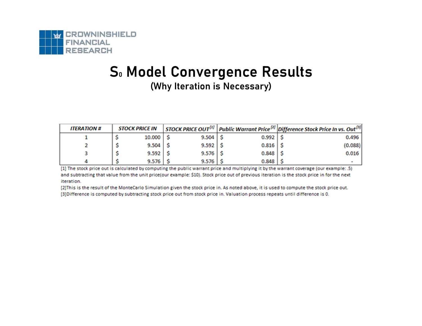

#### S. Model Convergence Results (Why Iteration is Necessary)

| <b>ITERATION #</b> | <b>STOCK PRICE IN</b> |              |              | <b>STOCK PRICE OUT<sup>[1]</sup></b> Public Warrant Price <sup>[2]</sup> Difference Stock Price In vs. Out <sup>[3]</sup> |
|--------------------|-----------------------|--------------|--------------|---------------------------------------------------------------------------------------------------------------------------|
|                    | $10.000$ $\sqrt{5}$   | $9.504$   \$ | $0.992$   \$ | 0.496                                                                                                                     |
|                    | $9.504$ \ \$          | $9.592$ \$   | $0.816$ \$   | (0.088)                                                                                                                   |
|                    | $9.592$   \$          | $9.576$   \$ | $0.848$   \$ | 0.016                                                                                                                     |
|                    | $9.576$ $\frac{1}{5}$ | $9.576$   \$ | $0.848$   \$ |                                                                                                                           |

[1] The stock price out is calculated by computing the public warrant price and multiplying it by the warrant coverage (our example: .5) and subtracting that value from the unit price(our example: \$10). Stock price out of previous iteration is the stock price in for the next iteration.

[2] This is the result of the MonteCarlo Simulation given the stock price in. As noted above, it is used to compute the stock price out. [3] Difference is computed by subtracting stock price out from stock price in. Valuation process repeats until difference is 0.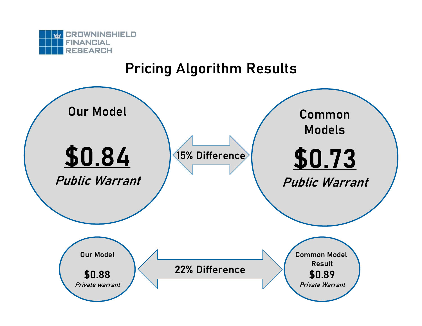

## Pricing Algorithm Results

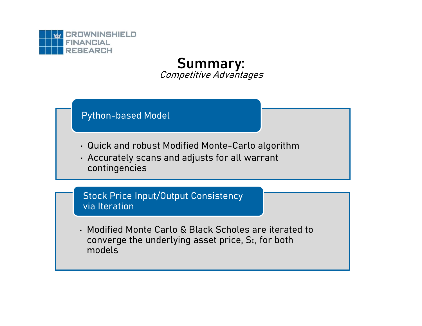

Summary: Competitive Advantages

#### Python-based Model

- 
- FRIMON<br>
FEARCH<br>
FEARCH<br>
Python-based Model<br>
Python-based Model<br>
Accurately scans and adjusts for all warrant<br>
Accurately scans and adjusts for all warrant<br>
contingencies FARCH<br>
FEARCH<br>
FEARCH<br>
Python-based Model<br>
Python-based Model<br>
Accurately scans and adjusts for all warrant<br>
Accurately scans and adjusts for all warrant<br>
Contingencies<br>
Stock Price Input/Qutput Consistency contingencies

Stock Price Input/Output Consistency via Iteration

• Modified Monte Carlo & Black Scholes are iterated to converge the underlying asset price, S<sub>0</sub>, for both models